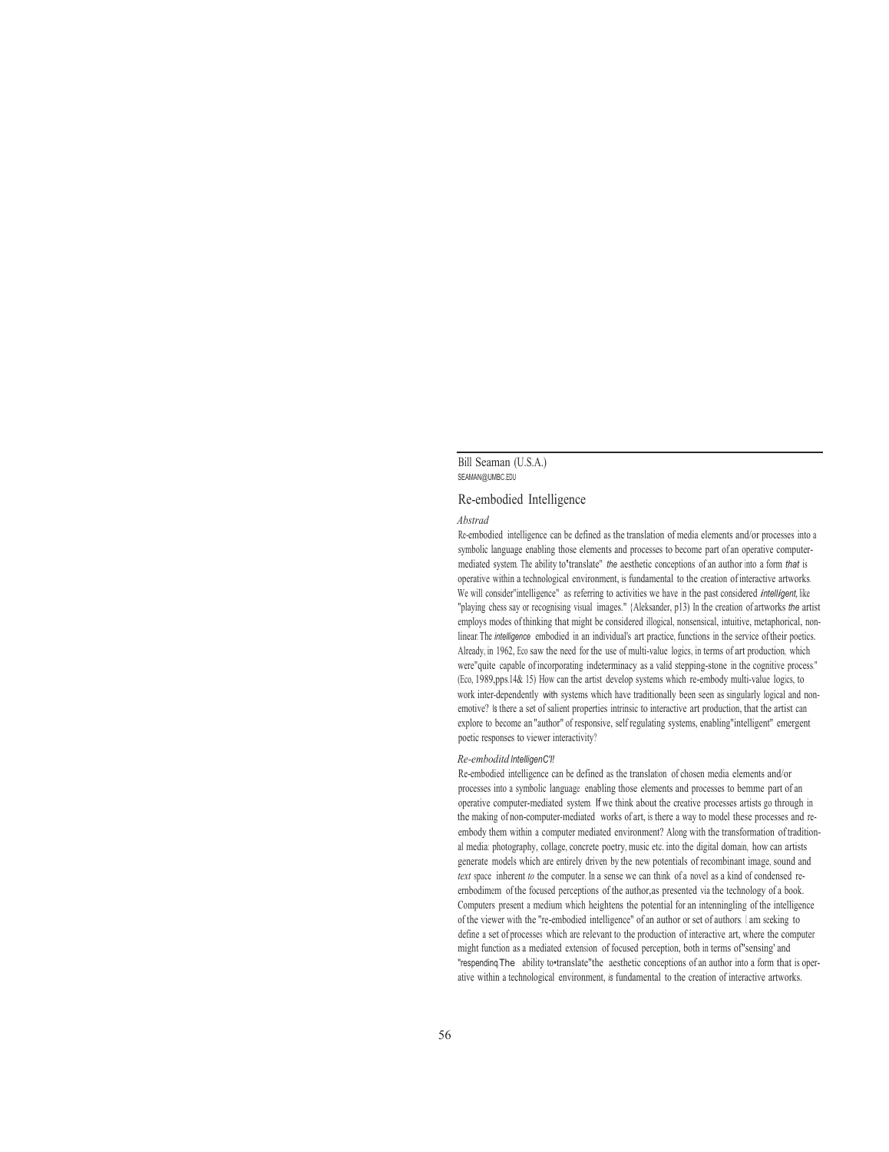# Bill Seaman (U.S.A.) SEAMAN@UMBC.EDU

### Re-embodied Intelligence

#### *Abstrad*

Re-embodied intelligence can be defined as the translation of media elements and/or processes into a symbolic language enabling those elements and processes to become part of an operative computermediated system. The ability to'translate" *the* aesthetic conceptions of an author into a form *that* is operative within a technological environment, is fundamental to the creation of interactive artworks. We will consider"intelligence" as referring to activities we have in the past considered *intelligent,* like "playing chess say or recognising visual images." {Aleksander, p13) In the creation of artworks *the* artist employs modes of thinking that might be considered illogical, nonsensical, intuitive, metaphorical, nonlinear. The *intelligence* embodied in an individual's art practice, functions in the service of their poetics. Already, in 1962, Eco saw the need for the use of multi-value logics, in terms of art production, which were"quite capable of incorporating indeterminacy as a valid stepping-stone in the cognitive process." (Eco, 1989,pps.14& 15) How can the artist develop systems which re-embody multi-value logics, to work inter-dependently with systems which have traditionally been seen as singularly logical and nonemotive? Is there a set of salient properties intrinsic to interactive art production, that the artist can explore to become an "author" of responsive, self regulating systems, enabling"intelligent" emergent poetic responses to viewer interactivity?

### *Re-emboditd lntelligenC'I!*

Re-embodied intelligence can be defined as the translation of chosen media elements and/or processes into a symbolic language enabling those elements and processes to bemme part of an operative computer-mediated system. If we think about the creative processes artists go through in the making of non-computer-mediated works of art, is there a way to model these processes and reembody them within a computer mediated environment? Along with the transformation of traditional media: photography, collage, concrete poetry, music etc. into the digital domain, how can artists generate models which are entirely driven by the new potentials of recombinant image, sound and *text* space inherent *to* the computer. In a sense we can think of a novel as a kind of condensed reernbodimem of the focused perceptions of the author,as presented via the technology of a book. Computers present a medium which heightens the potential for an intenningling of the intelligence of the viewer with the "re-embodied intelligence" of an author or set of authors. I am seeking to define a set of processes which are relevant to the production of interactive art, where the computer might function as a mediated extension of focused perception, both in terms of"sensing' and "respendinq.The ability to•translate"the aesthetic conceptions of an author into a form that is operative within a technological environment, *is* fundamental to the creation of interactive artworks.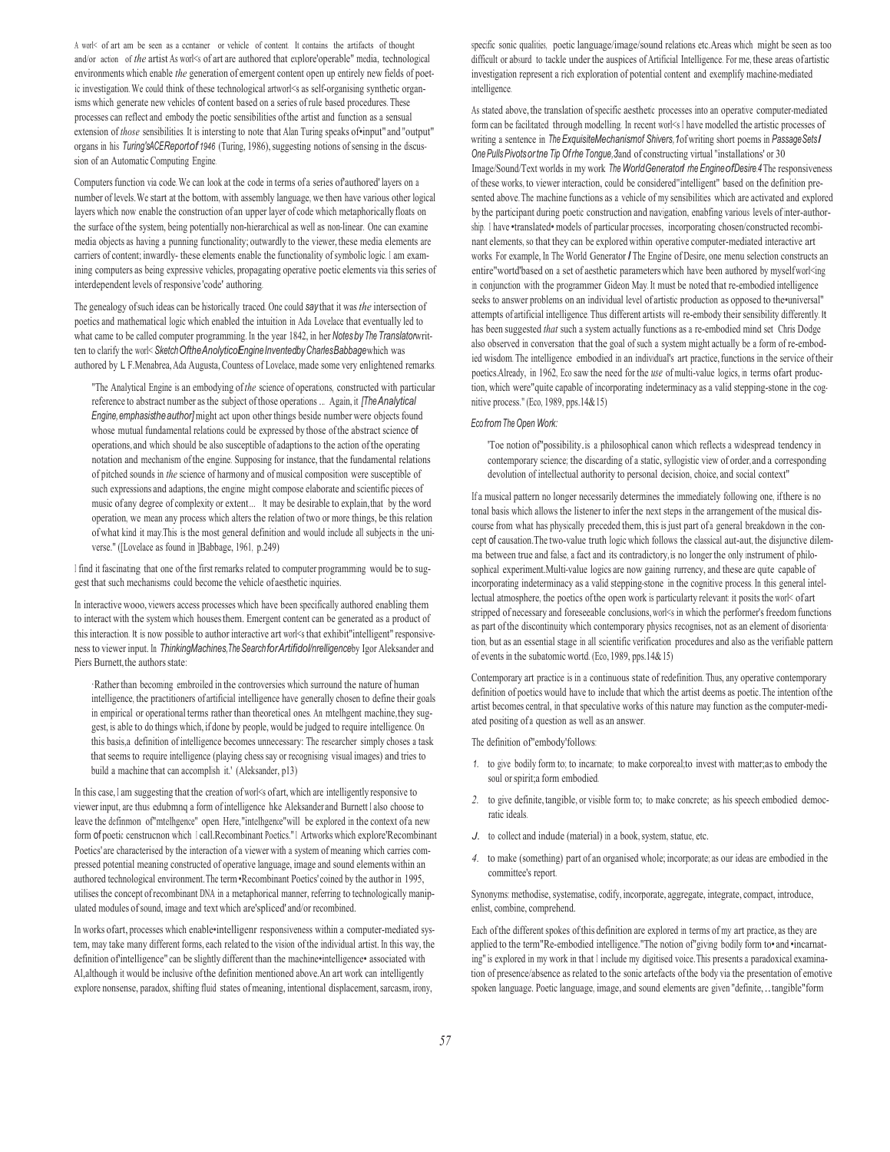A worl< of art am be seen as a ccntainer or vehicle of content. It contains the artifacts of thought and/or action of *the* artist As worl<s of art are authored that explore'operable" media, technological environments which enable *the* generation of emergent content open up entirely new fields of poetic investigation. We could think of these technological artworl<s as self-organising synthetic organisms which generate new vehicles of content based on a series of rule based procedures. These processes can reflect and embody the poetic sensibilities of the artist and function as a sensual extension of *those* sensibilities. It is intersting to note that Alan Turing speaks of•input" and "output" organs in his *Turing*'s ACE Report of 1946 (Turing, 1986), suggesting notions of sensing in the discussion of an Automatic Computing Engine.

Computers function via code. We can look at the code in terms of a series of'authored' layers on a number of levels. We start at the bottom, with assembly language, we then have various other logical layers which now enable the construction of an upper layer of code which metaphorically floats on the surface of the system, being potentially non-hierarchical as well as non-linear. One can examine media objects as having a punning functionality; outwardly to the viewer, these media elements are carriers of content; inwardly- these elements enable the functionality of symbolic logic. I am examining computers as being expressive vehicles, propagating operative poetic elements via this series of interdependent levels of responsive 'code' authoring.

The genealogy of such ideas can be historically traced. One could *say* that it was *the* intersection of poetics and mathematical logic which enabled the intuition in Ada Lovelace that eventually led to what came to be called computer programming. In the year 1842, in her Notes by The Translator written to clarify the worl< Sketch Of the Anolytico Engine Invented by Charles Babbage which was authored by L F.Menabrea, Ada Augusta, Countess of Lovelace, made some very enlightened remarks.

"The Analytical Engine is an embodying of *the* science of operations, constructed with particular reference to abstract number as the subject of those operations ... Again, it *[The Analytical Engine, emphasis the author]* might act upon other things beside number were objects found whose mutual fundamental relations could be expressed by those of the abstract science of operations, and which should be also susceptible of adaptions to the action of the operating notation and mechanism of the engine. Supposing for instance, that the fundamental relations of pitched sounds in *the* science of harmony and of musical composition were susceptible of such expressions and adaptions, the engine might compose elaborate and scientific pieces of music of any degree of complexity or extent ... It may be desirable to explain, that by the word operation, we mean any process which alters the relation of two or more things, be this relation of what kind it may.This is the most general definition and would include all subjects in the universe." ([Lovelace as found in ]Babbage, 1961, p.249)

I find it fascinating that one of the first remarks related to computer programming would be to suggest that such mechanisms could become the vehicle of aesthetic inquiries.

In interactive wooo, viewers access processes which have been specifically authored enabling them to interact with the system which houses them. Emergent content can be generated as a product of this interaction. It is now possible to author interactive art worl<s that exhibit"intelligent" responsiveness to viewer input. In *Thinking Machines, The Search for Artifidol /nrelligence* by Igor Aleksander and Piers Burnett, the authors state:

·Rather than becoming embroiled in the controversies which surround the nature of human intelligence, the practitioners of artificial intelligence have generally chosen to define their goals in empirical or operational terms rather than theoretical ones. An mtelhgent machine, they suggest, is able to do things which, if done by people, would be judged to require intelligence. On this basis,a definition of intelligence becomes unnecessary: The researcher simply choses a task that seems to require intelligence (playing chess say or recognising visual images) and tries to build a machine that can accomplish it.' (Aleksander, p13)

In this case, I am suggesting that the creation of works of art, which are intelligently responsive to viewer input, are thus edubmnq a form of intelligence hke Aleksander and Burnett I also choose to leave the definmon of "mtelhgence" open. Here, "intelhgence" will be explored in the context of a new form of poetic censtrucnon which I call.Recombinant Poetics." 1 Artworks which explore'Recombinant Poetics' are characterised by the interaction of a viewer with a system of meaning which carries compressed potential meaning constructed of operative language, image and sound elements within an authored technological environment. The term •Recombinant Poetics' coined by the author in 1995, utilises the concept of recombinant DNA in a metaphorical manner, referring to technologically manipulated modules of sound, image and text which are'spliced' and/or recombined.

In works ofart, processes which enable•intelligenr responsiveness within a computer-mediated system, may take many different forms, each related to the vision of the individual artist. In this way, the definition of'intelligence" can be slightly different than the machine•intelligence• associated with Al,although it would be inclusive of the definition mentioned above.An art work can intelligently explore nonsense, paradox, shifting fluid states of meaning, intentional displacement, sarcasm, irony,

specific sonic qualities, poetic language/image/sound relations etc.Areas which might be seen as too difficult or absurd to tackle under the auspices of Artificial Intelligence. For me, these areas of artistic investigation represent a rich exploration of potential content and exemplify machine-mediated intelligence.

As stated above, the translation of specific aesthetic processes into an operative computer-mediated form can be facilitated through modelling. In recent worl<s I have modelled the artistic processes of writing a sentence in *The ExquisiteMechanism of Shivers*, 1 of writing short poems in *Passage Sets I One Pulls Pivots or tne Tip Of rhe Tongue,3* and of constructing virtual "installations' or 30 Image/Sound/Text worlds in my work *The World Generator I rhe Engine of Desire.4* The responsiveness of these works, to viewer interaction, could be considered"intelligent" based on the definition presented above. The machine functions as a vehicle of my sensibilities which are activated and explored by the participant during poetic construction and navigation, enabfing various levels of inter-authorship. I have •translated• models of particular processes, incorporating chosen/constructed recombinant elements, so that they can be explored within operative computer-mediated interactive art works. For example, In The World Generator *I* The Engine of Desire, one menu selection constructs an entire"wortd'based on a set of aesthetic parameters which have been authored by myself worl<ing in conjunction with the programmer Gideon May. It must be noted that re-embodied intelligence seeks to answer problems on an individual level of artistic production as opposed to the•universal" attempts of artificial intelligence. Thus different artists will re-embody their sensibility differently. It has been suggested *that* such a system actually functions as a re-embodied mind set Chris Dodge also observed in conversation that the goal of such a system might actually be a form of re-embodied wisdom. The intelligence embodied in an individual's art practice, functions in the service of their poetics.Already, in 1962, Eco saw the need for the *use* of multi-value logics, in terms of art production, which were"quite capable of incorporating indeterminacy as a valid stepping-stone in the cognitive process." (Eco, 1989, pps.14& 15)

# *Eco from The Open Work:*

'Toe notion of"possibility.is a philosophical canon which reflects a widespread tendency in contemporary science; the discarding of a static, syllogistic view of order, and a corresponding devolution of intellectual authority to personal decision, choice, and social context"

If a musical pattern no longer necessarily determines the immediately following one, if there is no tonal basis which allows the listener to infer the next steps in the arrangement of the musical discourse from what has physically preceded them, this is just part of a general breakdown in the concept of causation. The two-value truth logic which follows the classical aut-aut, the disjunctive dilemma between true and false, a fact and its contradictory, is no longer the only instrument of philosophical experiment.Multi-value logics are now gaining rurrency, and these are quite capable of incorporating indeterminacy as a valid stepping-stone in the cognitive process. In this general intellectual atmosphere, the poetics of the open work is particularty relevant: it posits the worl< of art stripped of necessary and foreseeable conclusions, worl<s in which the performer's freedom functions as part of the discontinuity which contemporary physics recognises, not as an element of disorienta· tion, but as an essential stage in all scientific verification procedures and also as the verifiable pattern of events in the subatomic wortd. (Eco, 1989, pps.14& 15)

Contemporary art practice is in a continuous state of redefinition. Thus, any operative contemporary definition of poetics would have to include that which the artist deems as poetic. The intention of the artist becomes central, in that speculative works of this nature may function as the computer-mediated positing of a question as well as an answer.

The definition of"embody'follows:

- *1.* to give bodily form to; to incarnate; to make corporeal;to invest with matter;as to embody the soul or spirit;a form embodied.
- *2.* to give definite, tangible, or visible form to; to make concrete; as his speech embodied democratic ideals.
- *J.* to collect and indude (material) in a book, system, statue, etc.
- *4.* to make (something) part of an organised whole; incorporate; as our ideas are embodied in the committee's report.

Synonyms: methodise, systematise, codify, incorporate, aggregate, integrate, compact, introduce, enlist, combine, comprehend.

Each of the different spokes of this definition are explored in terms of my art practice, as they are applied to the term"Re-embodied intelligence."The notion of"giving bodily form to• and •incarnating" is explored in my work in that I include my digitised voice. This presents a paradoxical examination of presence/absence as related to the sonic artefacts of the body via the presentation of emotive spoken language. Poetic language, image, and sound elements are given "definite, .. tangible"form